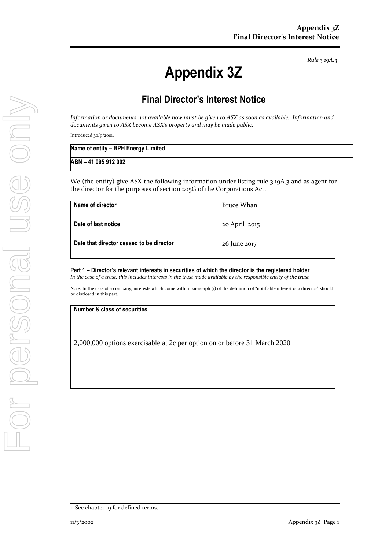*Rule 3.19A.3*

# **Appendix 3Z**

## **Final Director's Interest Notice**

*Information or documents not available now must be given to ASX as soon as available. Information and documents given to ASX become ASX's property and may be made public.*

Introduced 30/9/2001.

| Name of entity - BPH Energy Limited |  |
|-------------------------------------|--|
| ABN - 41 095 912 002                |  |

We (the entity) give ASX the following information under listing rule 3.19A.3 and as agent for the director for the purposes of section 205G of the Corporations Act.

| Name of director                         | Bruce Whan    |
|------------------------------------------|---------------|
|                                          |               |
| Date of last notice                      | 20 April 2015 |
|                                          |               |
| Date that director ceased to be director | 26 June 2017  |
|                                          |               |

**Part 1 – Director's relevant interests in securities of which the director is the registered holder** *In the case of a trust, this includes interests in the trust made available by the responsible entity of the trust*

Note: In the case of a company, interests which come within paragraph (i) of the definition of "notifiable interest of a director" should be disclosed in this part.

#### **Number & class of securities**

2,000,000 options exercisable at 2c per option on or before 31 March 2020

<sup>+</sup> See chapter 19 for defined terms.